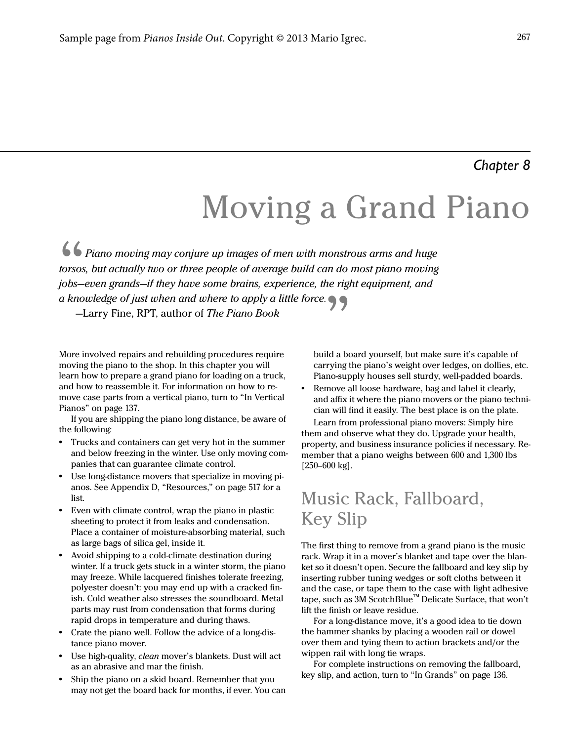#### *Chapter 8*

# Moving a Grand Piano

66 Piano moving may conjure up images of men with monstrous arms and huge torsos, but actually two or three people of average build can do most piano moving jobs—even grands—if they have some brains, experience, the right equipment, and a knowledge of just when and where to apply a little force.  $\bullet$   $\bullet$   $\bullet$  —Larry Fine, RPT, author of *The Piano Book* 

More involved repairs and rebuilding procedures require moving the piano to the shop. In this chapter you will learn how to prepare a grand piano for loading on a truck, and how to reassemble it. For information on how to remove case parts from a vertical piano, turn to "In Vertical Pianos" on page 137.

If you are shipping the piano long distance, be aware of the following:

- **•** Trucks and containers can get very hot in the summer and below freezing in the winter. Use only moving companies that can guarantee climate control.
- **•** Use long-distance movers that specialize in moving pianos. See Appendix D, "Resources," on page 517 for a list.
- **•** Even with climate control, wrap the piano in plastic sheeting to protect it from leaks and condensation. Place a container of moisture-absorbing material, such as large bags of silica gel, inside it.
- **•** Avoid shipping to a cold-climate destination during winter. If a truck gets stuck in a winter storm, the piano may freeze. While lacquered finishes tolerate freezing, polyester doesn't: you may end up with a cracked finish. Cold weather also stresses the soundboard. Metal parts may rust from condensation that forms during rapid drops in temperature and during thaws.
- **•** Crate the piano well. Follow the advice of a long-distance piano mover.
- **•** Use high-quality, clean mover's blankets. Dust will act as an abrasive and mar the finish.
- **•** Ship the piano on a skid board. Remember that you may not get the board back for months, if ever. You can

build a board yourself, but make sure it's capable of carrying the piano's weight over ledges, on dollies, etc. Piano-supply houses sell sturdy, well-padded boards.

**•** Remove all loose hardware, bag and label it clearly, and affix it where the piano movers or the piano technician will find it easily. The best place is on the plate.

Learn from professional piano movers: Simply hire them and observe what they do. Upgrade your health, property, and business insurance policies if necessary. Remember that a piano weighs between 600 and 1,300 lbs  $[250-600 \text{ kg}]$ .

### Music Rack, Fallboard, Key Slip

The first thing to remove from a grand piano is the music rack. Wrap it in a mover's blanket and tape over the blanket so it doesn't open. Secure the fallboard and key slip by inserting rubber tuning wedges or soft cloths between it and the case, or tape them to the case with light adhesive tape, such as 3M ScotchBlue™ Delicate Surface, that won't lift the finish or leave residue.

For a long-distance move, it's a good idea to tie down the hammer shanks by placing a wooden rail or dowel over them and tying them to action brackets and/or the wippen rail with long tie wraps.

For complete instructions on removing the fallboard, key slip, and action, turn to "In Grands" on page 136.